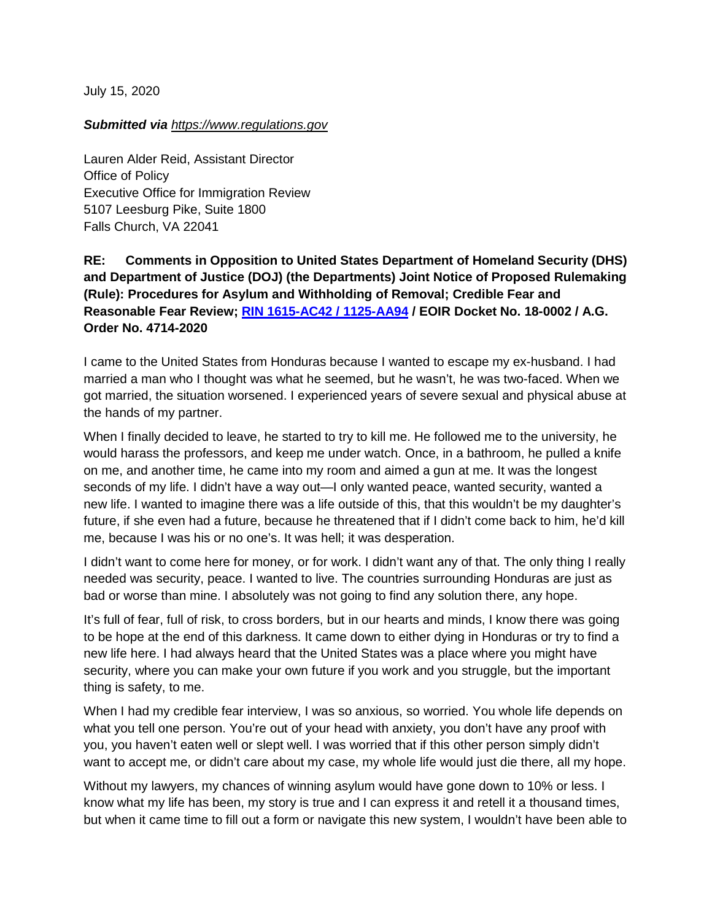July 15, 2020

## *Submitted via https:/[/www.](https://www.regulations.gov/document?D=EOIR-2020-0003-0001)regulations.gov*

Lauren Alder Reid, Assistant Director Office of Policy Executive Office for Immigration Review 5107 Leesburg Pike, Suite 1800 Falls Church, VA 22041

## **RE: Comments in Opposition to United States Department of Homeland Security (DHS) and Department of Justice (DOJ) (the Departments) Joint Notice of Proposed Rulemaking (Rule): Procedures for Asylum and Withholding of Removal; Credible Fear and Reasonable Fear Review; [RIN 1615-AC42 / 1125-AA94](https://www.federalregister.gov/documents/2020/06/15/2020-12575/procedures-for-asylum-and-withholding-of-removal-credible-fear-and-reasonable-fear-review) / EOIR Docket No. 18-0002 / A.G. Order No. 4714-2020**

I came to the United States from Honduras because I wanted to escape my ex-husband. I had married a man who I thought was what he seemed, but he wasn't, he was two-faced. When we got married, the situation worsened. I experienced years of severe sexual and physical abuse at the hands of my partner.

When I finally decided to leave, he started to try to kill me. He followed me to the university, he would harass the professors, and keep me under watch. Once, in a bathroom, he pulled a knife on me, and another time, he came into my room and aimed a gun at me. It was the longest seconds of my life. I didn't have a way out—I only wanted peace, wanted security, wanted a new life. I wanted to imagine there was a life outside of this, that this wouldn't be my daughter's future, if she even had a future, because he threatened that if I didn't come back to him, he'd kill me, because I was his or no one's. It was hell; it was desperation.

I didn't want to come here for money, or for work. I didn't want any of that. The only thing I really needed was security, peace. I wanted to live. The countries surrounding Honduras are just as bad or worse than mine. I absolutely was not going to find any solution there, any hope.

It's full of fear, full of risk, to cross borders, but in our hearts and minds, I know there was going to be hope at the end of this darkness. It came down to either dying in Honduras or try to find a new life here. I had always heard that the United States was a place where you might have security, where you can make your own future if you work and you struggle, but the important thing is safety, to me.

When I had my credible fear interview, I was so anxious, so worried. You whole life depends on what you tell one person. You're out of your head with anxiety, you don't have any proof with you, you haven't eaten well or slept well. I was worried that if this other person simply didn't want to accept me, or didn't care about my case, my whole life would just die there, all my hope.

Without my lawyers, my chances of winning asylum would have gone down to 10% or less. I know what my life has been, my story is true and I can express it and retell it a thousand times, but when it came time to fill out a form or navigate this new system, I wouldn't have been able to